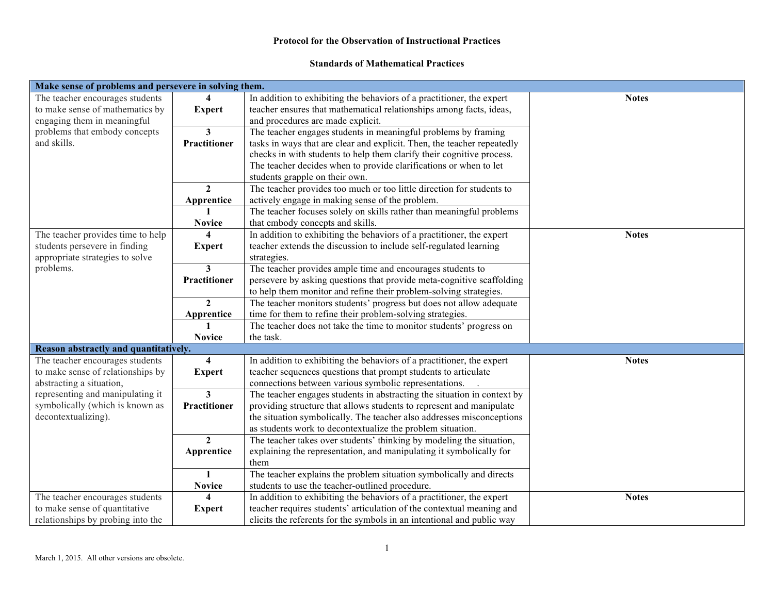#### **Standards of Mathematical Practices**

| Make sense of problems and persevere in solving them. |                         |                                                                         |              |  |  |
|-------------------------------------------------------|-------------------------|-------------------------------------------------------------------------|--------------|--|--|
| The teacher encourages students                       |                         | In addition to exhibiting the behaviors of a practitioner, the expert   | <b>Notes</b> |  |  |
| to make sense of mathematics by                       | <b>Expert</b>           | teacher ensures that mathematical relationships among facts, ideas,     |              |  |  |
| engaging them in meaningful                           |                         | and procedures are made explicit.                                       |              |  |  |
| problems that embody concepts                         | $\mathbf{3}$            | The teacher engages students in meaningful problems by framing          |              |  |  |
| and skills.                                           | Practitioner            | tasks in ways that are clear and explicit. Then, the teacher repeatedly |              |  |  |
|                                                       |                         | checks in with students to help them clarify their cognitive process.   |              |  |  |
|                                                       |                         | The teacher decides when to provide clarifications or when to let       |              |  |  |
|                                                       |                         | students grapple on their own.                                          |              |  |  |
|                                                       | $\mathbf{2}$            | The teacher provides too much or too little direction for students to   |              |  |  |
|                                                       | Apprentice              | actively engage in making sense of the problem.                         |              |  |  |
|                                                       |                         | The teacher focuses solely on skills rather than meaningful problems    |              |  |  |
|                                                       | <b>Novice</b>           | that embody concepts and skills.                                        |              |  |  |
| The teacher provides time to help                     | $\boldsymbol{4}$        | In addition to exhibiting the behaviors of a practitioner, the expert   | <b>Notes</b> |  |  |
| students persevere in finding                         | <b>Expert</b>           | teacher extends the discussion to include self-regulated learning       |              |  |  |
| appropriate strategies to solve                       |                         | strategies.                                                             |              |  |  |
| problems.                                             | 3                       | The teacher provides ample time and encourages students to              |              |  |  |
|                                                       | Practitioner            | persevere by asking questions that provide meta-cognitive scaffolding   |              |  |  |
|                                                       |                         | to help them monitor and refine their problem-solving strategies.       |              |  |  |
|                                                       | $\mathbf{2}$            | The teacher monitors students' progress but does not allow adequate     |              |  |  |
|                                                       | Apprentice              | time for them to refine their problem-solving strategies.               |              |  |  |
|                                                       |                         | The teacher does not take the time to monitor students' progress on     |              |  |  |
|                                                       | <b>Novice</b>           | the task.                                                               |              |  |  |
| Reason abstractly and quantitatively.                 |                         |                                                                         |              |  |  |
| The teacher encourages students                       | 4                       | In addition to exhibiting the behaviors of a practitioner, the expert   | <b>Notes</b> |  |  |
| to make sense of relationships by                     | <b>Expert</b>           | teacher sequences questions that prompt students to articulate          |              |  |  |
| abstracting a situation,                              |                         | connections between various symbolic representations.                   |              |  |  |
| representing and manipulating it                      | 3                       | The teacher engages students in abstracting the situation in context by |              |  |  |
| symbolically (which is known as                       | Practitioner            | providing structure that allows students to represent and manipulate    |              |  |  |
| decontextualizing).                                   |                         | the situation symbolically. The teacher also addresses misconceptions   |              |  |  |
|                                                       |                         | as students work to decontextualize the problem situation.              |              |  |  |
|                                                       | $\mathbf{2}$            | The teacher takes over students' thinking by modeling the situation,    |              |  |  |
|                                                       | Apprentice              | explaining the representation, and manipulating it symbolically for     |              |  |  |
|                                                       |                         | them                                                                    |              |  |  |
|                                                       | 1                       | The teacher explains the problem situation symbolically and directs     |              |  |  |
|                                                       | <b>Novice</b>           | students to use the teacher-outlined procedure.                         |              |  |  |
| The teacher encourages students                       | $\overline{\mathbf{4}}$ | In addition to exhibiting the behaviors of a practitioner, the expert   | <b>Notes</b> |  |  |
| to make sense of quantitative                         | <b>Expert</b>           | teacher requires students' articulation of the contextual meaning and   |              |  |  |
| relationships by probing into the                     |                         | elicits the referents for the symbols in an intentional and public way  |              |  |  |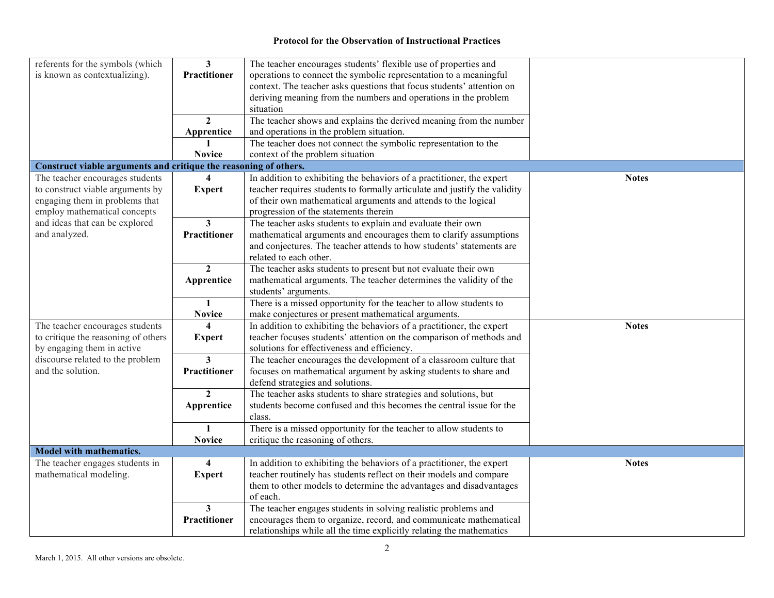| referents for the symbols (which                                 | $\mathbf{3}$            | The teacher encourages students' flexible use of properties and           |              |
|------------------------------------------------------------------|-------------------------|---------------------------------------------------------------------------|--------------|
| is known as contextualizing).                                    | Practitioner            | operations to connect the symbolic representation to a meaningful         |              |
|                                                                  |                         | context. The teacher asks questions that focus students' attention on     |              |
|                                                                  |                         | deriving meaning from the numbers and operations in the problem           |              |
|                                                                  |                         | situation                                                                 |              |
|                                                                  | $\overline{2}$          | The teacher shows and explains the derived meaning from the number        |              |
|                                                                  | Apprentice              | and operations in the problem situation.                                  |              |
|                                                                  |                         | The teacher does not connect the symbolic representation to the           |              |
|                                                                  | <b>Novice</b>           | context of the problem situation                                          |              |
| Construct viable arguments and critique the reasoning of others. |                         |                                                                           |              |
| The teacher encourages students                                  | $\overline{\mathbf{4}}$ | In addition to exhibiting the behaviors of a practitioner, the expert     | <b>Notes</b> |
| to construct viable arguments by                                 | <b>Expert</b>           | teacher requires students to formally articulate and justify the validity |              |
| engaging them in problems that                                   |                         | of their own mathematical arguments and attends to the logical            |              |
| employ mathematical concepts                                     |                         | progression of the statements therein                                     |              |
| and ideas that can be explored                                   | $\overline{\mathbf{3}}$ | The teacher asks students to explain and evaluate their own               |              |
| and analyzed.                                                    | <b>Practitioner</b>     | mathematical arguments and encourages them to clarify assumptions         |              |
|                                                                  |                         | and conjectures. The teacher attends to how students' statements are      |              |
|                                                                  |                         | related to each other.                                                    |              |
|                                                                  | $\overline{2}$          | The teacher asks students to present but not evaluate their own           |              |
|                                                                  | Apprentice              | mathematical arguments. The teacher determines the validity of the        |              |
|                                                                  |                         | students' arguments.                                                      |              |
|                                                                  | $\mathbf{1}$            | There is a missed opportunity for the teacher to allow students to        |              |
|                                                                  | <b>Novice</b>           | make conjectures or present mathematical arguments.                       |              |
| The teacher encourages students                                  | 4                       | In addition to exhibiting the behaviors of a practitioner, the expert     | <b>Notes</b> |
| to critique the reasoning of others                              | <b>Expert</b>           | teacher focuses students' attention on the comparison of methods and      |              |
| by engaging them in active                                       |                         | solutions for effectiveness and efficiency.                               |              |
| discourse related to the problem                                 | 3                       | The teacher encourages the development of a classroom culture that        |              |
| and the solution.                                                |                         |                                                                           |              |
|                                                                  | <b>Practitioner</b>     | focuses on mathematical argument by asking students to share and          |              |
|                                                                  |                         | defend strategies and solutions.                                          |              |
|                                                                  | $\mathbf{2}$            | The teacher asks students to share strategies and solutions, but          |              |
|                                                                  | Apprentice              | students become confused and this becomes the central issue for the       |              |
|                                                                  |                         | class.                                                                    |              |
|                                                                  | $\mathbf{1}$            | There is a missed opportunity for the teacher to allow students to        |              |
|                                                                  | <b>Novice</b>           | critique the reasoning of others.                                         |              |
| <b>Model with mathematics.</b>                                   |                         |                                                                           |              |
| The teacher engages students in                                  | $\overline{\mathbf{4}}$ | In addition to exhibiting the behaviors of a practitioner, the expert     | <b>Notes</b> |
| mathematical modeling.                                           | <b>Expert</b>           | teacher routinely has students reflect on their models and compare        |              |
|                                                                  |                         | them to other models to determine the advantages and disadvantages        |              |
|                                                                  |                         | of each.                                                                  |              |
|                                                                  | 3                       | The teacher engages students in solving realistic problems and            |              |
|                                                                  | Practitioner            | encourages them to organize, record, and communicate mathematical         |              |
|                                                                  |                         | relationships while all the time explicitly relating the mathematics      |              |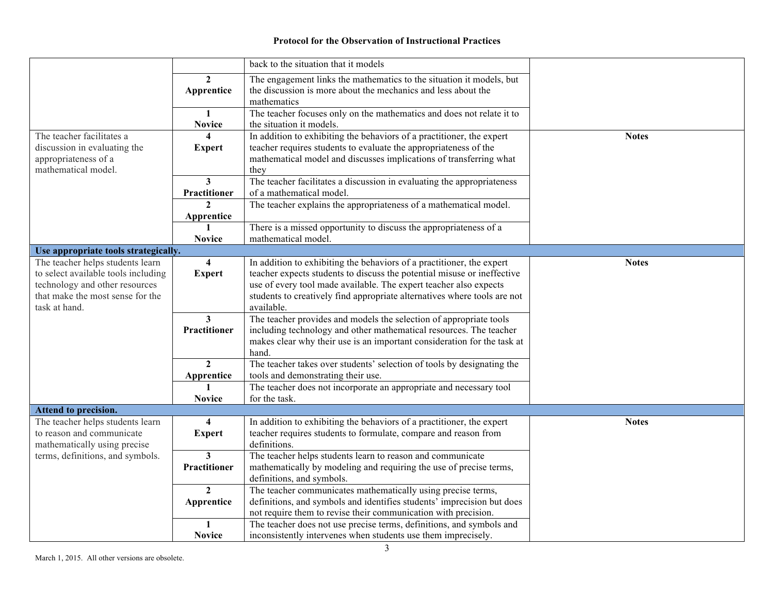|                                                          |                         | back to the situation that it models                                                                                                     |              |
|----------------------------------------------------------|-------------------------|------------------------------------------------------------------------------------------------------------------------------------------|--------------|
|                                                          | $\mathbf{2}$            | The engagement links the mathematics to the situation it models, but                                                                     |              |
|                                                          | Apprentice              | the discussion is more about the mechanics and less about the                                                                            |              |
|                                                          |                         | mathematics                                                                                                                              |              |
|                                                          | $\mathbf{1}$            | The teacher focuses only on the mathematics and does not relate it to                                                                    |              |
|                                                          | <b>Novice</b>           | the situation it models.                                                                                                                 |              |
| The teacher facilitates a                                | 4                       | In addition to exhibiting the behaviors of a practitioner, the expert                                                                    | <b>Notes</b> |
| discussion in evaluating the                             | <b>Expert</b>           | teacher requires students to evaluate the appropriateness of the                                                                         |              |
| appropriateness of a                                     |                         | mathematical model and discusses implications of transferring what                                                                       |              |
| mathematical model.                                      |                         | they                                                                                                                                     |              |
|                                                          | 3                       | The teacher facilitates a discussion in evaluating the appropriateness                                                                   |              |
|                                                          | Practitioner            | of a mathematical model.                                                                                                                 |              |
|                                                          |                         | The teacher explains the appropriateness of a mathematical model.                                                                        |              |
|                                                          | Apprentice              |                                                                                                                                          |              |
|                                                          |                         | There is a missed opportunity to discuss the appropriateness of a                                                                        |              |
|                                                          | <b>Novice</b>           | mathematical model.                                                                                                                      |              |
| Use appropriate tools strategically.                     |                         |                                                                                                                                          |              |
| The teacher helps students learn                         | 4                       | In addition to exhibiting the behaviors of a practitioner, the expert                                                                    | <b>Notes</b> |
| to select available tools including                      | <b>Expert</b>           | teacher expects students to discuss the potential misuse or ineffective                                                                  |              |
| technology and other resources                           |                         | use of every tool made available. The expert teacher also expects                                                                        |              |
| that make the most sense for the                         |                         | students to creatively find appropriate alternatives where tools are not                                                                 |              |
| task at hand.                                            |                         | available.                                                                                                                               |              |
|                                                          | $\mathbf{3}$            | The teacher provides and models the selection of appropriate tools                                                                       |              |
|                                                          | Practitioner            | including technology and other mathematical resources. The teacher                                                                       |              |
|                                                          |                         | makes clear why their use is an important consideration for the task at                                                                  |              |
|                                                          |                         | hand.                                                                                                                                    |              |
|                                                          | $\mathbf{2}$            | The teacher takes over students' selection of tools by designating the                                                                   |              |
|                                                          | Apprentice              | tools and demonstrating their use.                                                                                                       |              |
|                                                          |                         | The teacher does not incorporate an appropriate and necessary tool                                                                       |              |
|                                                          | <b>Novice</b>           | for the task.                                                                                                                            |              |
| Attend to precision.<br>The teacher helps students learn | $\overline{\mathbf{4}}$ |                                                                                                                                          | <b>Notes</b> |
| to reason and communicate                                |                         | In addition to exhibiting the behaviors of a practitioner, the expert<br>teacher requires students to formulate, compare and reason from |              |
| mathematically using precise                             | <b>Expert</b>           | definitions.                                                                                                                             |              |
| terms, definitions, and symbols.                         | 3                       | The teacher helps students learn to reason and communicate                                                                               |              |
|                                                          | <b>Practitioner</b>     | mathematically by modeling and requiring the use of precise terms,                                                                       |              |
|                                                          |                         | definitions, and symbols.                                                                                                                |              |
|                                                          | $\overline{2}$          | The teacher communicates mathematically using precise terms,                                                                             |              |
|                                                          | Apprentice              | definitions, and symbols and identifies students' imprecision but does                                                                   |              |
|                                                          |                         | not require them to revise their communication with precision.                                                                           |              |
|                                                          | $\mathbf{1}$            | The teacher does not use precise terms, definitions, and symbols and                                                                     |              |
|                                                          | <b>Novice</b>           | inconsistently intervenes when students use them imprecisely.                                                                            |              |
|                                                          |                         |                                                                                                                                          |              |